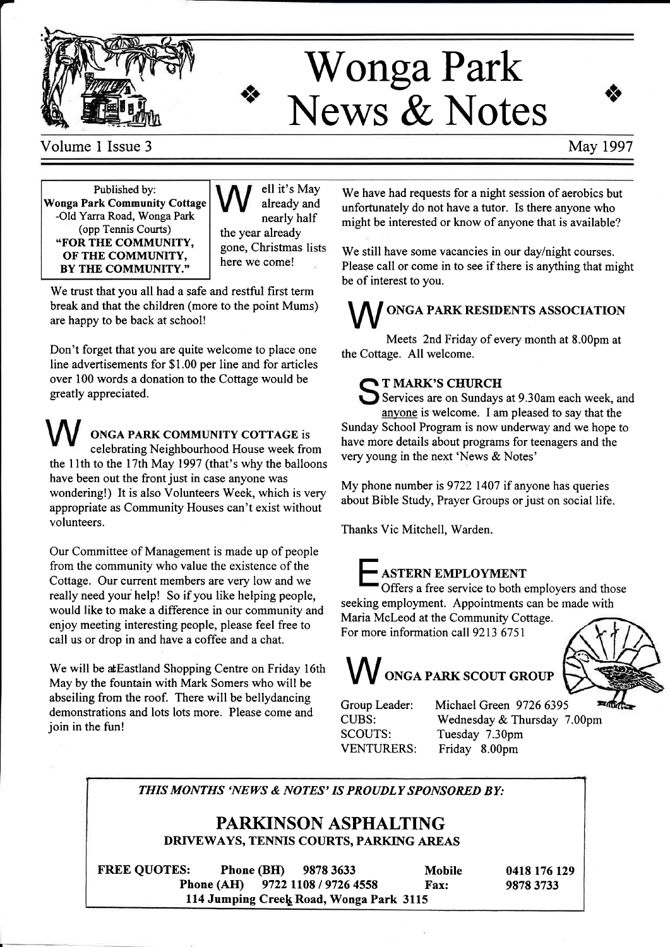

# Wonga Park News & Notes



Volume 1 Issue 3 May 1997

Published by: Wonga Park Community Cottage -Old Yarra Road, Wonga Park (opp Tennis Courts) .FOR THE COMMUNITY, OF THE COMMUNITY, BY THE COMMUNITY."

ell it's May already and nearly half the year already gone, Christmas here we come!

We trust that you all had a safe and restful first term break and that the children (more to the point Mums) are happy to be back at school!

Don't forget that you are quite welcome to place one line advertisements for \$1.00 per line and for articles over 100 words a donation to the Cottage would be greatly appreciated.

ONGA PARK COMMUNITY COTTAGE is celebrating Neighbourhood House week from the 11th to the 17th May 1997 (that's why the balloons have been out the front just in case anyone was wondering!) It is also Volunteers Week, which is very appropriate as Community Houses can't exist without volunteers.

Our Committee of Management is made up of people from the community who value the existence of the Cottage. Our current members are very low and we really need your help! So if you like helping people, would like to make a difference in our community and enjoy meeting interesting people, please feel free to call us or drop in and have a coffee and a chat.

We will be atEastland Shopping Centre on Friday 16th May by the fountain with Mark Somers who will be abseiling from the roof. There will be bellydancing demonstrations and lots lots more. Please come and join in the fun!

We have had requests for a night session of aerobics but unfortunately do not have a tutor. Is there anyone who might be interested or know of anyone that is available?

We still have some vacancies in our day/night courses. Please call or come in to see if there is anything that might be of interest to you.

## ONGA PARK RESIDENTS ASSOCIATION

Meets 2nd Friday of every month at 8.00pm at the Cottage. All welcome.

### T MARK'S CHURCH

Services are on Sundays at 9.30am each week, and anyone is welcome. I am pleased to say that the Sunday School Program is now underway and we hope to have more details about programs for teenagers and the very young in the next 'News & Notes'

My phone number is 9722 1407 if anyone has queries about Bible Study, Prayer Groups or just on social life.

Thanks Vic Mitchell, Warden.

### **ASTERN EMPLOYMENT**

Offers a free service to both employers and those seeking employment. Appointments can be made with

Maria Mcleod at the Community Cottage. For more information call 9213 6751



**VV** ONGA PARK SCOUT GROUP

Group Leader: CUBS: SCOUTS:

Michael Green 9726 6395 Wednesday & Thursday 7.00pm Tuesday 7.3Opm VENTURERS: Friday 8.00pm

### THIS MONTHS 'NEWS & NOTES' IS PROUDLY SPONSORED BY:

### PARKINSON ASPHALTING DRIVEWAYS, TENNIS COURTS, PARKING AREAS

FREE QUOTES: Phone (BH) 9878 3633 Mobile 0418 176 129<br>Phone (AH) 9722 1108 / 9726 4558 Fax: 9878 3733 9722 1108 / 9726 4558 114 Jumping Creek Road, Wonga Park 3115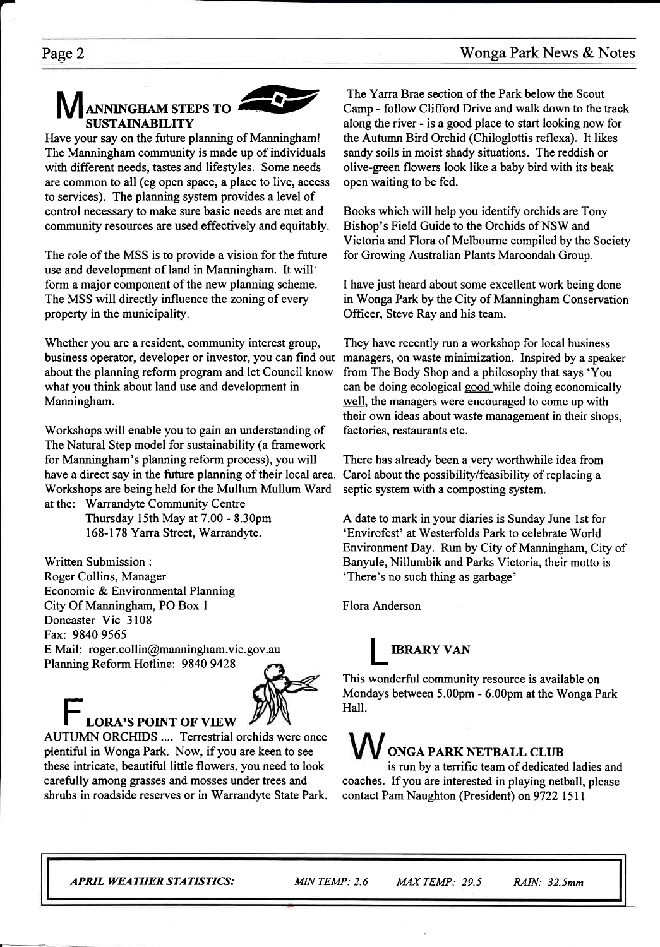### NNINGHAM STEPS TO SUSTAINABILITY



Have your say on the future planning of Manningham! The Manningham community is made up of individuals with different needs, tastes and lifestyles. Some needs are common to all (eg open space, a place to live, access to services). The planning system provides a level of control necessary to make sure basic needs are met and community resources are used effectively and equitably.

The role of the MSS is to provide a vision for the future use and development of land in Manningham. It will' form a major component of the new planning scheme. The MSS will directly influence the zoning of every property in the municipality

Whether you are a resident, community interest group, business operator, developer or investor, you can find out about the planning reform program and let Council know what you think about land use and development in Manningham.

Workshops.will enable you to gain an understanding of The Natural Step model for sustainability (a framework for Manningham's planning reform process), you will have a direct say in the future planning of their local area. Workshops are being held for the Mullum Mullum Ward at the: Warrandyte Community Centre

Thursday 15th May at 7.00 - 8.30pm 168-178 Yarra Street, Warrandyte.

Written Submission : Roger Collins, Manager Economic & Environmental Planning City Of Manningham, PO Box I Doncaster Vic 3108 Fax: 9840 9565 E Mail: roger.collin@manningham.vic.gov.au Planning Reform Hotline: 9840 9428



# LORA'S POINT OF VIEW AUTUMN ORCHIDS .... Terrestrial orchids were once

ptentiful in Wonga Park. Now, if you are keen to see these intricate, beautiful little flowers, you need to look carefully among grasses and mosses under trees and shrubs in roadside reserves or in Warrandyte State Park.

The Yarra Brae section of the Park below the Scout Camp - follow Clifford Drive and walk down to the track along the river - is a good place to start looking now for the Autumn Bird Orchid (Chiloglottis reflexa). It likes sandy soils in moist shady situations. The reddish or olive-green flowers look like a baby bird with its beak open waiting to be fed.

Books which will help you identify orchids are Tony Bishop's Field Guide to the Orchids of NSW and Victoria and Flora of Melbourne compiled by the Society for Growing Australian Plants Maroondah Group.

I have just heard about some excellent work being done in Wonga Park by the City of Manningham Conservation Officer, Steve Ray and his team.

They have recently run a workshop for local business managers, on waste minimization. Inspired by a speaker from The Body Shop and a philosophy that says 'You can be doing ecological good while doing economically well, the managers were encouraged to come up with their own ideas about waste management in their shops, factories, restaurants etc.

There has already been a very worthwhile idea from Carol about the possibility/feasibility of replacing a septic system with a composting system.

A date to mark in your diaries is Sunday June lst for 'Envirofest' at Westerfolds Park to celebrate World Environment Day. Run by City of Manningham, City of Banyule, Nillumbik and Parks Victoria, their motto is 'There's no such thing as garbage'

Flora Anderson

### **IBRARY VAN**

This wonderful community resource is available on Mondays between 5.00pm - 6.00pm at the Wonga Park Hall.

### ONGA PARK NETBALL CLIIB

is run by a terrific team of dedicated ladies and coaches. If you are interested in playing netball, please contact Pam Naughton (President) on 9722 1511

APRIL WEATHERSTATISTICS: MIN TEMP: 2.6 MAXTEMP: 29.5 RAIN: 32.5mm